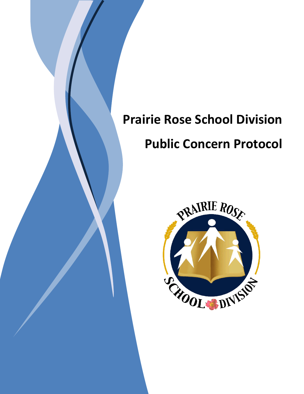# **Prairie Rose School Division Public Concern Protocol**

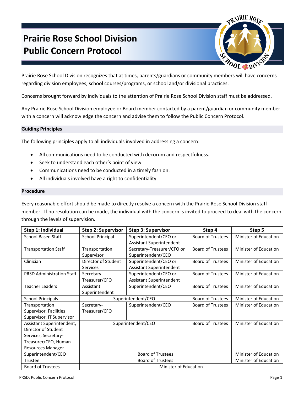# **Prairie Rose School Division Public Concern Protocol**



Prairie Rose School Division recognizes that at times, parents/guardians or community members will have concerns regarding division employees, school courses/programs, or school and/or divisional practices.

Concerns brought forward by individuals to the attention of Prairie Rose School Division staff must be addressed.

Any Prairie Rose School Division employee or Board member contacted by a parent/guardian or community member with a concern will acknowledge the concern and advise them to follow the Public Concern Protocol.

# **Guiding Principles**

The following principles apply to all individuals involved in addressing a concern:

- All communications need to be conducted with decorum and respectfulness.
- Seek to understand each other's point of view.
- Communications need to be conducted in a timely fashion.
- All individuals involved have a right to confidentiality.

## **Procedure**

Every reasonable effort should be made to directly resolve a concern with the Prairie Rose School Division staff member. If no resolution can be made, the individual with the concern is invited to proceed to deal with the concern through the levels of supervision.

| Step 1: Individual               | <b>Step 2: Supervisor</b>    | <b>Step 3: Supervisor</b>       | Step 4                   | Step 5                |
|----------------------------------|------------------------------|---------------------------------|--------------------------|-----------------------|
| <b>School Based Staff</b>        | <b>School Principal</b>      | Superintendent/CEO or           | <b>Board of Trustees</b> | Minister of Education |
|                                  |                              | <b>Assistant Superintendent</b> |                          |                       |
| <b>Transportation Staff</b>      | Transportation               | Secretary-Treasurer/CFO or      | <b>Board of Trustees</b> | Minister of Education |
|                                  | Supervisor                   | Superintendent/CEO              |                          |                       |
| Clinician                        | Director of Student          | Superintendent/CEO or           | <b>Board of Trustees</b> | Minister of Education |
|                                  | <b>Services</b>              | <b>Assistant Superintendent</b> |                          |                       |
| <b>PRSD Administration Staff</b> | Secretary-                   | Superintendent/CEO or           | <b>Board of Trustees</b> | Minister of Education |
|                                  | Treasurer/CFO                | <b>Assistant Superintendent</b> |                          |                       |
| <b>Teacher Leaders</b>           | Assistant                    | Superintendent/CEO              | <b>Board of Trustees</b> | Minister of Education |
|                                  | Superintendent               |                                 |                          |                       |
| <b>School Principals</b>         | Superintendent/CEO           |                                 | <b>Board of Trustees</b> | Minister of Education |
| Transportation                   | Secretary-                   | Superintendent/CEO              | <b>Board of Trustees</b> | Minister of Education |
| Supervisor, Facilities           | Treasurer/CFO                |                                 |                          |                       |
| Supervisor, IT Supervisor        |                              |                                 |                          |                       |
| Assistant Superintendent,        | Superintendent/CEO           |                                 | <b>Board of Trustees</b> | Minister of Education |
| Director of Student              |                              |                                 |                          |                       |
| Services, Secretary-             |                              |                                 |                          |                       |
| Treasurer/CFO, Human             |                              |                                 |                          |                       |
| <b>Resources Manager</b>         |                              |                                 |                          |                       |
| Superintendent/CEO               | <b>Board of Trustees</b>     |                                 |                          | Minister of Education |
| Trustee                          | <b>Board of Trustees</b>     |                                 |                          | Minister of Education |
| <b>Board of Trustees</b>         | <b>Minister of Education</b> |                                 |                          |                       |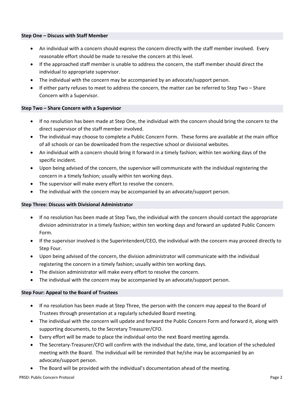#### **Step One – Discuss with Staff Member**

- An individual with a concern should express the concern directly with the staff member involved. Every reasonable effort should be made to resolve the concern at this level.
- If the approached staff member is unable to address the concern, the staff member should direct the individual to appropriate supervisor.
- The individual with the concern may be accompanied by an advocate/support person.
- If either party refuses to meet to address the concern, the matter can be referred to Step Two Share Concern with a Supervisor.

## **Step Two – Share Concern with a Supervisor**

- If no resolution has been made at Step One, the individual with the concern should bring the concern to the direct supervisor of the staff member involved.
- The individual may choose to complete a Public Concern Form. These forms are available at the main office of all schools or can be downloaded from the respective school or divisional websites.
- An individual with a concern should bring it forward in a timely fashion; within ten working days of the specific incident.
- Upon being advised of the concern, the supervisor will communicate with the individual registering the concern in a timely fashion; usually within ten working days.
- The supervisor will make every effort to resolve the concern.
- The individual with the concern may be accompanied by an advocate/support person.

## **Step Three: Discuss with Divisional Administrator**

- If no resolution has been made at Step Two, the individual with the concern should contact the appropriate division administrator in a timely fashion; within ten working days and forward an updated Public Concern Form.
- If the supervisor involved is the Superintendent/CEO, the individual with the concern may proceed directly to Step Four.
- Upon being advised of the concern, the division administrator will communicate with the individual registering the concern in a timely fashion; usually within ten working days.
- The division administrator will make every effort to resolve the concern.
- The individual with the concern may be accompanied by an advocate/support person.

# **Step Four: Appeal to the Board of Trustees**

- If no resolution has been made at Step Three, the person with the concern may appeal to the Board of Trustees through presentation at a regularly scheduled Board meeting.
- The individual with the concern will update and forward the Public Concern Form and forward it, along with supporting documents, to the Secretary Treasurer/CFO.
- Every effort will be made to place the individual onto the next Board meeting agenda.
- The Secretary-Treasurer/CFO will confirm with the individual the date, time, and location of the scheduled meeting with the Board. The individual will be reminded that he/she may be accompanied by an advocate/support person.
- The Board will be provided with the individual's documentation ahead of the meeting.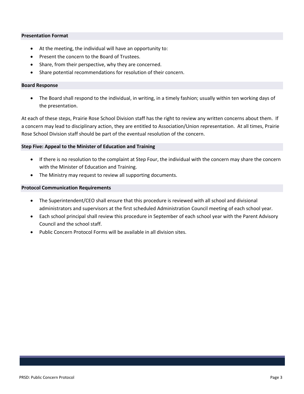#### **Presentation Format**

- At the meeting, the individual will have an opportunity to:
- Present the concern to the Board of Trustees.
- Share, from their perspective, why they are concerned.
- Share potential recommendations for resolution of their concern.

#### **Board Response**

 The Board shall respond to the individual, in writing, in a timely fashion; usually within ten working days of the presentation.

At each of these steps, Prairie Rose School Division staff has the right to review any written concerns about them. If a concern may lead to disciplinary action, they are entitled to Association/Union representation. At all times, Prairie Rose School Division staff should be part of the eventual resolution of the concern.

#### **Step Five: Appeal to the Minister of Education and Training**

- If there is no resolution to the complaint at Step Four, the individual with the concern may share the concern with the Minister of Education and Training.
- The Ministry may request to review all supporting documents.

#### **Protocol Communication Requirements**

- The Superintendent/CEO shall ensure that this procedure is reviewed with all school and divisional administrators and supervisors at the first scheduled Administration Council meeting of each school year.
- Each school principal shall review this procedure in September of each school year with the Parent Advisory Council and the school staff.
- Public Concern Protocol Forms will be available in all division sites.